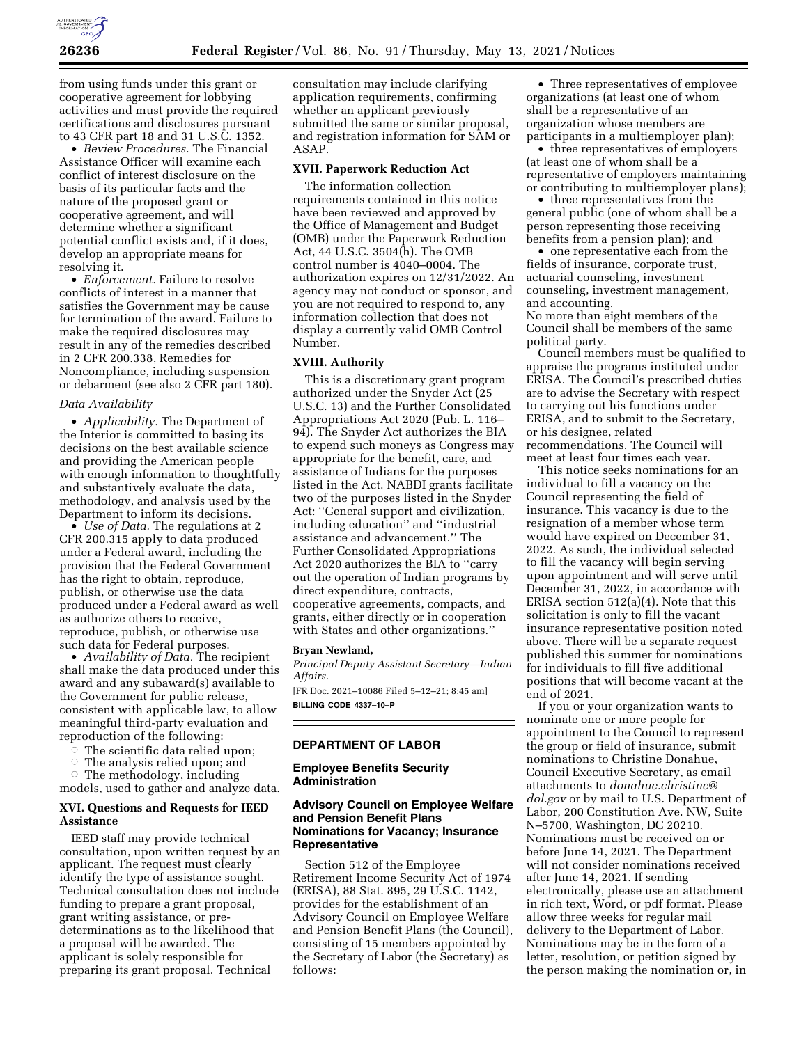

from using funds under this grant or cooperative agreement for lobbying activities and must provide the required certifications and disclosures pursuant to 43 CFR part 18 and 31 U.S.C. 1352.

• *Review Procedures.* The Financial Assistance Officer will examine each conflict of interest disclosure on the basis of its particular facts and the nature of the proposed grant or cooperative agreement, and will determine whether a significant potential conflict exists and, if it does, develop an appropriate means for resolving it.

• *Enforcement*. Failure to resolve conflicts of interest in a manner that satisfies the Government may be cause for termination of the award. Failure to make the required disclosures may result in any of the remedies described in 2 CFR 200.338, Remedies for Noncompliance, including suspension or debarment (see also 2 CFR part 180).

#### *Data Availability*

• *Applicability.* The Department of the Interior is committed to basing its decisions on the best available science and providing the American people with enough information to thoughtfully and substantively evaluate the data, methodology, and analysis used by the Department to inform its decisions.

• *Use of Data*. The regulations at 2 CFR 200.315 apply to data produced under a Federal award, including the provision that the Federal Government has the right to obtain, reproduce, publish, or otherwise use the data produced under a Federal award as well as authorize others to receive, reproduce, publish, or otherwise use such data for Federal purposes.

• *Availability of Data.* The recipient shall make the data produced under this award and any subaward(s) available to the Government for public release, consistent with applicable law, to allow meaningful third-party evaluation and reproduction of the following:

- The scientific data relied upon;
- ÆThe analysis relied upon; and

 $\circ$  The methodology, including models, used to gather and analyze data.

## **XVI. Questions and Requests for IEED Assistance**

IEED staff may provide technical consultation, upon written request by an applicant. The request must clearly identify the type of assistance sought. Technical consultation does not include funding to prepare a grant proposal, grant writing assistance, or predeterminations as to the likelihood that a proposal will be awarded. The applicant is solely responsible for preparing its grant proposal. Technical

consultation may include clarifying application requirements, confirming whether an applicant previously submitted the same or similar proposal, and registration information for SAM or ASAP.

#### **XVII. Paperwork Reduction Act**

The information collection requirements contained in this notice have been reviewed and approved by the Office of Management and Budget (OMB) under the Paperwork Reduction Act, 44 U.S.C. 3504(h). The OMB control number is 4040–0004. The authorization expires on 12/31/2022. An agency may not conduct or sponsor, and you are not required to respond to, any information collection that does not display a currently valid OMB Control Number.

## **XVIII. Authority**

This is a discretionary grant program authorized under the Snyder Act (25 U.S.C. 13) and the Further Consolidated Appropriations Act 2020 (Pub. L. 116– 94). The Snyder Act authorizes the BIA to expend such moneys as Congress may appropriate for the benefit, care, and assistance of Indians for the purposes listed in the Act. NABDI grants facilitate two of the purposes listed in the Snyder Act: ''General support and civilization, including education'' and ''industrial assistance and advancement.'' The Further Consolidated Appropriations Act 2020 authorizes the BIA to ''carry out the operation of Indian programs by direct expenditure, contracts, cooperative agreements, compacts, and grants, either directly or in cooperation with States and other organizations.''

#### **Bryan Newland,**

*Principal Deputy Assistant Secretary—Indian Affairs.*  [FR Doc. 2021–10086 Filed 5–12–21; 8:45 am]

**BILLING CODE 4337–10–P** 

# **DEPARTMENT OF LABOR**

### **Employee Benefits Security Administration**

## **Advisory Council on Employee Welfare and Pension Benefit Plans Nominations for Vacancy; Insurance Representative**

Section 512 of the Employee Retirement Income Security Act of 1974 (ERISA), 88 Stat. 895, 29 U.S.C. 1142, provides for the establishment of an Advisory Council on Employee Welfare and Pension Benefit Plans (the Council), consisting of 15 members appointed by the Secretary of Labor (the Secretary) as follows:

• Three representatives of employee organizations (at least one of whom shall be a representative of an organization whose members are participants in a multiemployer plan);

• three representatives of employers (at least one of whom shall be a representative of employers maintaining or contributing to multiemployer plans);

• three representatives from the general public (one of whom shall be a person representing those receiving benefits from a pension plan); and

• one representative each from the fields of insurance, corporate trust, actuarial counseling, investment counseling, investment management, and accounting.

No more than eight members of the Council shall be members of the same political party.

Council members must be qualified to appraise the programs instituted under ERISA. The Council's prescribed duties are to advise the Secretary with respect to carrying out his functions under ERISA, and to submit to the Secretary, or his designee, related recommendations. The Council will meet at least four times each year.

This notice seeks nominations for an individual to fill a vacancy on the Council representing the field of insurance. This vacancy is due to the resignation of a member whose term would have expired on December 31, 2022. As such, the individual selected to fill the vacancy will begin serving upon appointment and will serve until December 31, 2022, in accordance with ERISA section 512(a)(4). Note that this solicitation is only to fill the vacant insurance representative position noted above. There will be a separate request published this summer for nominations for individuals to fill five additional positions that will become vacant at the end of 2021.

If you or your organization wants to nominate one or more people for appointment to the Council to represent the group or field of insurance, submit nominations to Christine Donahue, Council Executive Secretary, as email attachments to *[donahue.christine@](mailto:donahue.christine@dol.gov) [dol.gov](mailto:donahue.christine@dol.gov)* or by mail to U.S. Department of Labor, 200 Constitution Ave. NW, Suite N–5700, Washington, DC 20210. Nominations must be received on or before June 14, 2021. The Department will not consider nominations received after June 14, 2021. If sending electronically, please use an attachment in rich text, Word, or pdf format. Please allow three weeks for regular mail delivery to the Department of Labor. Nominations may be in the form of a letter, resolution, or petition signed by the person making the nomination or, in